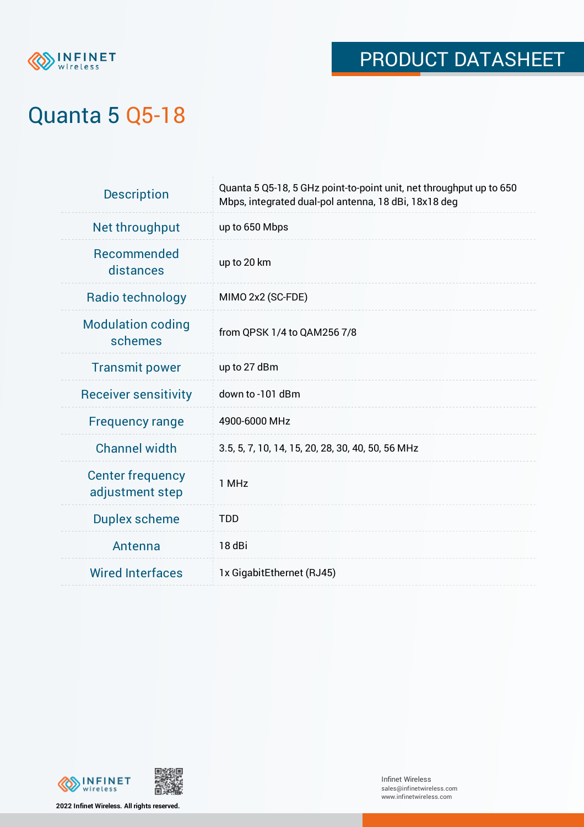

# PRODUCT DATASHEET

# Quanta 5 Q5-18

| <b>Description</b>                         | Quanta 5 Q5-18, 5 GHz point-to-point unit, net throughput up to 650<br>Mbps, integrated dual-pol antenna, 18 dBi, 18x18 deg |
|--------------------------------------------|-----------------------------------------------------------------------------------------------------------------------------|
| Net throughput                             | up to 650 Mbps                                                                                                              |
| Recommended<br>distances                   | up to 20 km                                                                                                                 |
| Radio technology                           | MIMO 2x2 (SC-FDE)                                                                                                           |
| <b>Modulation coding</b><br>schemes        | from QPSK 1/4 to QAM256 7/8                                                                                                 |
| <b>Transmit power</b>                      | up to 27 dBm                                                                                                                |
| <b>Receiver sensitivity</b>                | down to -101 dBm                                                                                                            |
| <b>Frequency range</b>                     | 4900-6000 MHz                                                                                                               |
| <b>Channel width</b>                       | 3.5, 5, 7, 10, 14, 15, 20, 28, 30, 40, 50, 56 MHz                                                                           |
| <b>Center frequency</b><br>adjustment step | 1 MHz                                                                                                                       |
| <b>Duplex scheme</b>                       | <b>TDD</b>                                                                                                                  |
| Antenna                                    | 18 dBi                                                                                                                      |
| <b>Wired Interfaces</b>                    | 1x GigabitEthernet (RJ45)                                                                                                   |



**2022 Infinet Wireless. All rights reserved.**

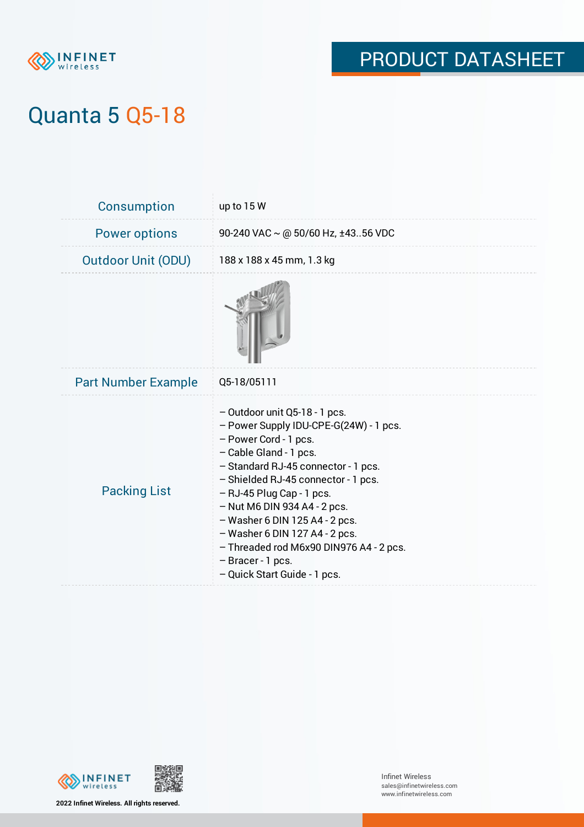

## PRODUCT DATASHEET

## Quanta 5 Q5-18

| Consumption                | up to 15 W                                                                                                                                                                                                                                                                                                                                                                                                                                      |
|----------------------------|-------------------------------------------------------------------------------------------------------------------------------------------------------------------------------------------------------------------------------------------------------------------------------------------------------------------------------------------------------------------------------------------------------------------------------------------------|
| <b>Power options</b>       | 90-240 VAC $\sim$ @ 50/60 Hz, ±4356 VDC                                                                                                                                                                                                                                                                                                                                                                                                         |
| <b>Outdoor Unit (ODU)</b>  | 188 x 188 x 45 mm, 1.3 kg                                                                                                                                                                                                                                                                                                                                                                                                                       |
|                            |                                                                                                                                                                                                                                                                                                                                                                                                                                                 |
| <b>Part Number Example</b> | Q5-18/05111                                                                                                                                                                                                                                                                                                                                                                                                                                     |
| <b>Packing List</b>        | - Outdoor unit Q5-18 - 1 pcs.<br>- Power Supply IDU-CPE-G(24W) - 1 pcs.<br>- Power Cord - 1 pcs.<br>- Cable Gland - 1 pcs.<br>- Standard RJ-45 connector - 1 pcs.<br>- Shielded RJ-45 connector - 1 pcs.<br>$-$ RJ-45 Plug Cap - 1 pcs.<br>$-$ Nut M6 DIN 934 A4 - 2 pcs.<br>$-$ Washer 6 DIN 125 A4 - 2 pcs.<br>- Washer 6 DIN 127 A4 - 2 pcs.<br>- Threaded rod M6x90 DIN976 A4 - 2 pcs.<br>- Bracer - 1 pcs.<br>- Quick Start Guide - 1 pcs. |





Infinet Wireless sales@infinetwireless.com www.infinetwireless.com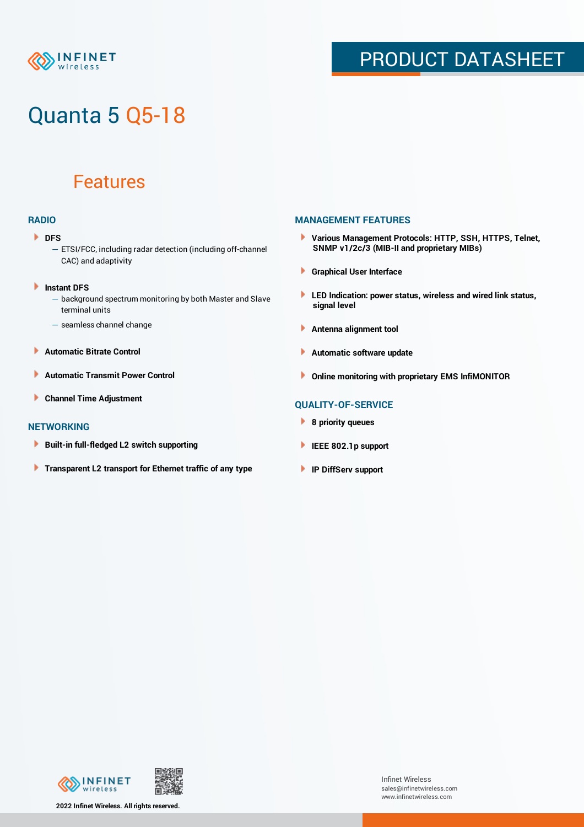

### PRODUCT DATASHEET

# Quanta 5 Q5-18

### Features

### **RADIO**

#### **DFS**

- ETSI/FCC, including radar detection (including off-channel CAC) and adaptivity
- Þ **Instant DFS**
	- background spectrum monitoring by both Master and Slave terminal units
	- seamless channel change
- **Automatic Bitrate Control** Þ
- Þ **Automatic Transmit Power Control**
- Þ **Channel Time Adjustment**

#### **NETWORKING**

- × **Built-in full-fledged L2 switch supporting**
- Þ **Transparent L2 transport for Ethernet traffic of any type**

### **MANAGEMENT FEATURES**

- **Various Management Protocols: HTTP, SSH, HTTPS, Telnet, SNMP v1/2c/3 (MIB-II and proprietary MIBs)**
- **Graphical User Interface**
- **LED Indication: power status, wireless and wired link status, signal level**
- **Antenna alignment tool**
- ٠ **Automatic software update**
- **Online monitoring with proprietary EMS InfiMONITOR**

### **QUALITY-OF-SERVICE**

- **8 priority queues**
- **IEEE 802.1p support**
- **IP DiffServ support**



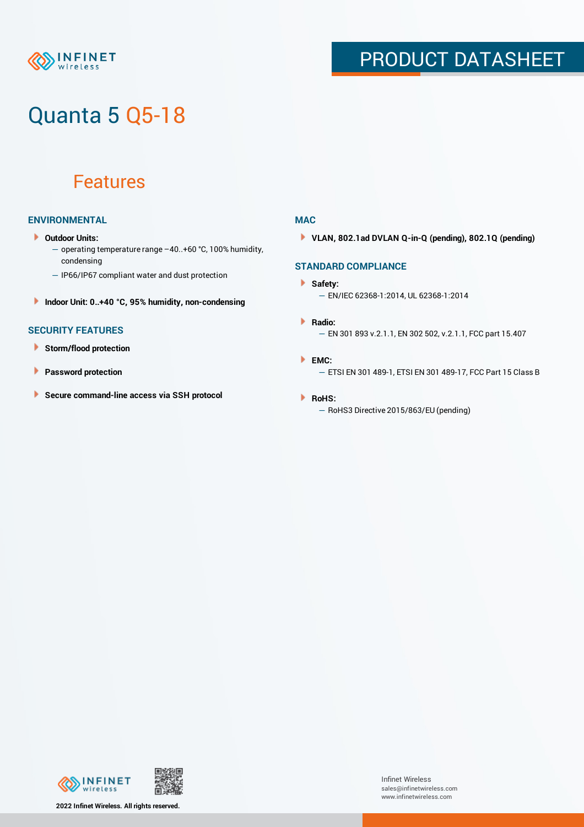### **NFINET** reless

## PRODUCT DATASHEET

# Quanta 5 Q5-18

### Features

### **ENVIRONMENTAL**

- **Outdoor Units:**
	- operating temperature range –40..+60 °С, 100% humidity, condensing
	- IP66/IP67 compliant water and dust protection
- **Indoor Unit: 0..+40 °C, 95% humidity, non-condensing**

### **SECURITY FEATURES**

- **Storm/flood protection**
- **Password protection** Þ
- × **Secure command-line access via SSH protocol**

### **MAC**

**VLAN, 802.1ad DVLAN Q-in-Q (pending), 802.1Q (pending)**

### **STANDARD COMPLIANCE**

#### **Safety:**

- EN/IEC 62368-1:2014, UL 62368-1:2014
- **Radio:** — EN 301 893 v.2.1.1, EN 302 502, v.2.1.1, FCC part 15.407
- **EMC:** — ETSI EN 301 489-1, ETSI EN 301 489-17, FCC Part 15 Class B

#### **RoHS:**

— RoHS3 Directive 2015/863/EU (pending)